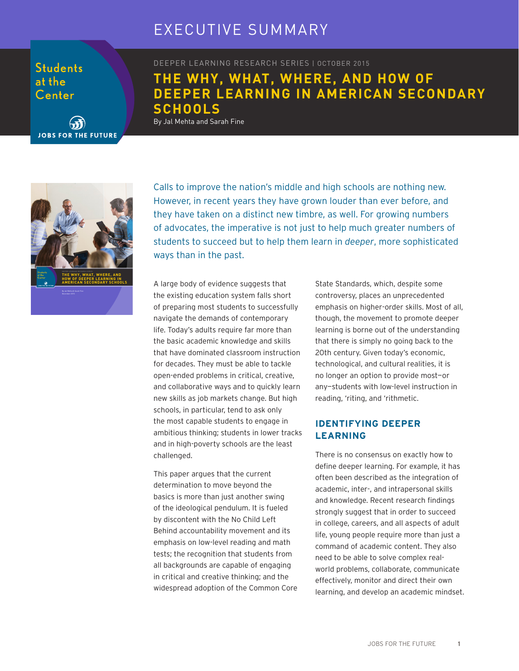## EXECUTIVE SUMMARY

**Students** at the Center

**JOBS FOR THE FUTURE** 

DEEPER LEARNING RESEARCH SERIES | OCTOBER 2015

### **THE WHY, WHAT, WHERE, AND HOW OF DEEPER LEARNING IN AMERICAN SECONDARY SCHOOLS**

By Jal Mehta and Sarah Fine



Calls to improve the nation's middle and high schools are nothing new. However, in recent years they have grown louder than ever before, and they have taken on a distinct new timbre, as well. For growing numbers of advocates, the imperative is not just to help much greater numbers of students to succeed but to help them learn in *deeper*, more sophisticated ways than in the past.

A large body of evidence suggests that the existing education system falls short of preparing most students to successfully navigate the demands of contemporary life. Today's adults require far more than the basic academic knowledge and skills that have dominated classroom instruction for decades. They must be able to tackle open-ended problems in critical, creative, and collaborative ways and to quickly learn new skills as job markets change. But high schools, in particular, tend to ask only the most capable students to engage in ambitious thinking; students in lower tracks and in high-poverty schools are the least challenged.

This paper argues that the current determination to move beyond the basics is more than just another swing of the ideological pendulum. It is fueled by discontent with the No Child Left Behind accountability movement and its emphasis on low-level reading and math tests; the recognition that students from all backgrounds are capable of engaging in critical and creative thinking; and the widespread adoption of the Common Core

State Standards, which, despite some controversy, places an unprecedented emphasis on higher-order skills. Most of all, though, the movement to promote deeper learning is borne out of the understanding that there is simply no going back to the 20th century. Given today's economic, technological, and cultural realities, it is no longer an option to provide most—or any—students with low-level instruction in reading, 'riting, and 'rithmetic.

### **IDENTIFYING DEEPER LEARNING**

There is no consensus on exactly how to define deeper learning. For example, it has often been described as the integration of academic, inter-, and intrapersonal skills and knowledge. Recent research findings strongly suggest that in order to succeed in college, careers, and all aspects of adult life, young people require more than just a command of academic content. They also need to be able to solve complex realworld problems, collaborate, communicate effectively, monitor and direct their own learning, and develop an academic mindset.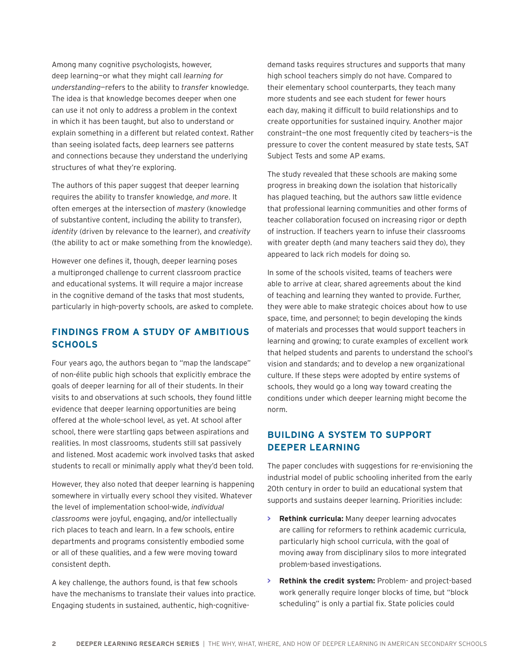Among many cognitive psychologists, however, deep learning—or what they might call *learning for understanding*—refers to the ability to *transfer* knowledge. The idea is that knowledge becomes deeper when one can use it not only to address a problem in the context in which it has been taught, but also to understand or explain something in a different but related context. Rather than seeing isolated facts, deep learners see patterns and connections because they understand the underlying structures of what they're exploring.

The authors of this paper suggest that deeper learning requires the ability to transfer knowledge, *and more*. It often emerges at the intersection of *mastery* (knowledge of substantive content, including the ability to transfer), *identity* (driven by relevance to the learner), and *creativity* (the ability to act or make something from the knowledge).

However one defines it, though, deeper learning poses a multipronged challenge to current classroom practice and educational systems. It will require a major increase in the cognitive demand of the tasks that most students, particularly in high-poverty schools, are asked to complete.

### **FINDINGS FROM A STUDY OF AMBITIOUS SCHOOLS**

Four years ago, the authors began to "map the landscape" of non-élite public high schools that explicitly embrace the goals of deeper learning for all of their students. In their visits to and observations at such schools, they found little evidence that deeper learning opportunities are being offered at the whole-school level, as yet. At school after school, there were startling gaps between aspirations and realities. In most classrooms, students still sat passively and listened. Most academic work involved tasks that asked students to recall or minimally apply what they'd been told.

However, they also noted that deeper learning is happening somewhere in virtually every school they visited. Whatever the level of implementation school-wide, *individual classrooms* were joyful, engaging, and/or intellectually rich places to teach and learn. In a few schools, entire departments and programs consistently embodied some or all of these qualities, and a few were moving toward consistent depth.

A key challenge, the authors found, is that few schools have the mechanisms to translate their values into practice. Engaging students in sustained, authentic, high-cognitivedemand tasks requires structures and supports that many high school teachers simply do not have. Compared to their elementary school counterparts, they teach many more students and see each student for fewer hours each day, making it difficult to build relationships and to create opportunities for sustained inquiry. Another major constraint—the one most frequently cited by teachers—is the pressure to cover the content measured by state tests, SAT Subject Tests and some AP exams.

The study revealed that these schools are making some progress in breaking down the isolation that historically has plagued teaching, but the authors saw little evidence that professional learning communities and other forms of teacher collaboration focused on increasing rigor or depth of instruction. If teachers yearn to infuse their classrooms with greater depth (and many teachers said they do), they appeared to lack rich models for doing so.

In some of the schools visited, teams of teachers were able to arrive at clear, shared agreements about the kind of teaching and learning they wanted to provide. Further, they were able to make strategic choices about how to use space, time, and personnel; to begin developing the kinds of materials and processes that would support teachers in learning and growing; to curate examples of excellent work that helped students and parents to understand the school's vision and standards; and to develop a new organizational culture. If these steps were adopted by entire systems of schools, they would go a long way toward creating the conditions under which deeper learning might become the norm.

### **BUILDING A SYSTEM TO SUPPORT DEEPER LEARNING**

The paper concludes with suggestions for re-envisioning the industrial model of public schooling inherited from the early 20th century in order to build an educational system that supports and sustains deeper learning. Priorities include:

- **> Rethink curricula:** Many deeper learning advocates are calling for reformers to rethink academic curricula, particularly high school curricula, with the goal of moving away from disciplinary silos to more integrated problem-based investigations.
- **> Rethink the credit system:** Problem- and project-based work generally require longer blocks of time, but "block scheduling" is only a partial fix. State policies could